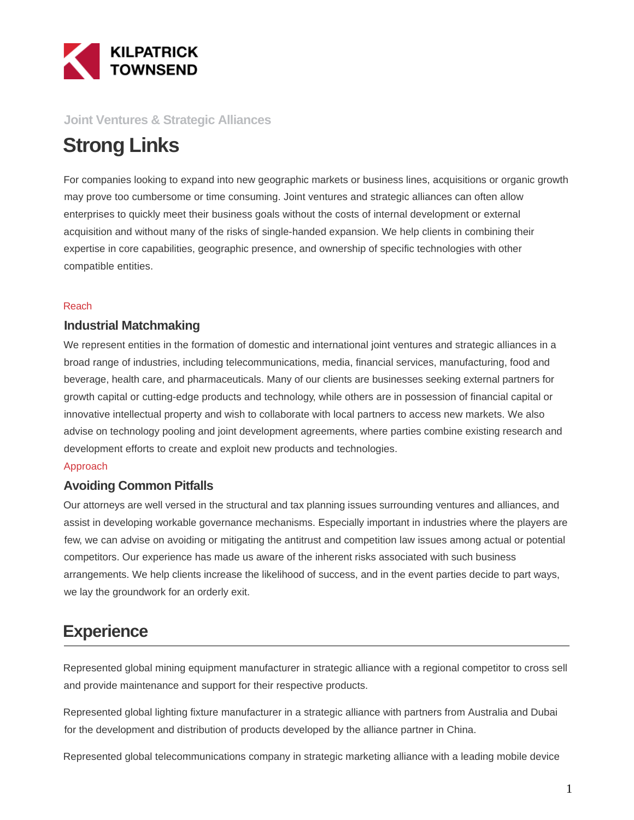

### **Joint Ventures & Strategic Alliances**

# **Strong Links**

For companies looking to expand into new geographic markets or business lines, acquisitions or organic growth may prove too cumbersome or time consuming. Joint ventures and strategic alliances can often allow enterprises to quickly meet their business goals without the costs of internal development or external acquisition and without many of the risks of single-handed expansion. We help clients in combining their expertise in core capabilities, geographic presence, and ownership of specific technologies with other compatible entities.

#### Reach

### **Industrial Matchmaking**

We represent entities in the formation of domestic and international joint ventures and strategic alliances in a broad range of industries, including telecommunications, media, financial services, manufacturing, food and beverage, health care, and pharmaceuticals. Many of our clients are businesses seeking external partners for growth capital or cutting-edge products and technology, while others are in possession of financial capital or innovative intellectual property and wish to collaborate with local partners to access new markets. We also advise on technology pooling and joint development agreements, where parties combine existing research and development efforts to create and exploit new products and technologies.

#### Approach

### **Avoiding Common Pitfalls**

Our attorneys are well versed in the structural and tax planning issues surrounding ventures and alliances, and assist in developing workable governance mechanisms. Especially important in industries where the players are few, we can advise on avoiding or mitigating the antitrust and competition law issues among actual or potential competitors. Our experience has made us aware of the inherent risks associated with such business arrangements. We help clients increase the likelihood of success, and in the event parties decide to part ways, we lay the groundwork for an orderly exit.

## **Experience**

Represented global mining equipment manufacturer in strategic alliance with a regional competitor to cross sell and provide maintenance and support for their respective products.

Represented global lighting fixture manufacturer in a strategic alliance with partners from Australia and Dubai for the development and distribution of products developed by the alliance partner in China.

Represented global telecommunications company in strategic marketing alliance with a leading mobile device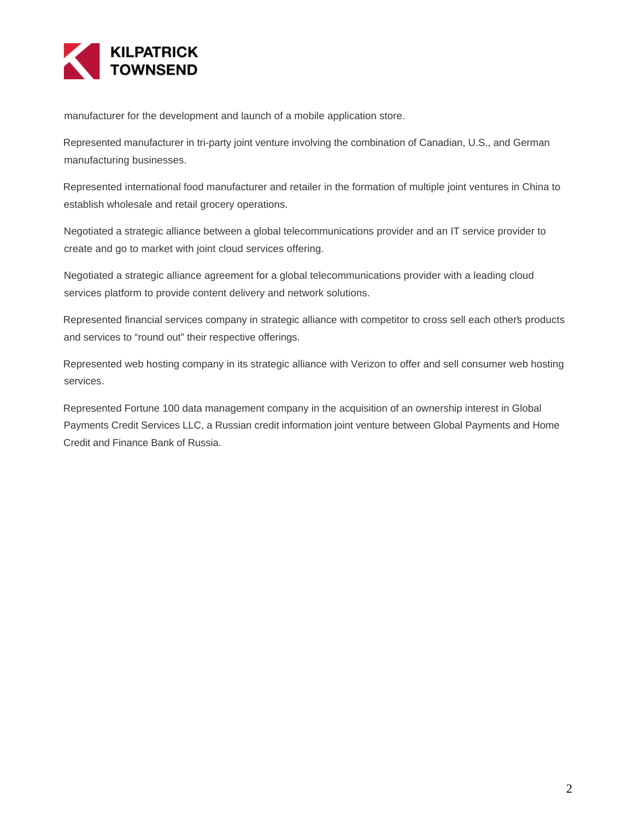

manufacturer for the development and launch of a mobile application store.

Represented manufacturer in tri-party joint venture involving the combination of Canadian, U.S., and German manufacturing businesses.

Represented international food manufacturer and retailer in the formation of multiple joint ventures in China to establish wholesale and retail grocery operations.

Negotiated a strategic alliance between a global telecommunications provider and an IT service provider to create and go to market with joint cloud services offering.

Negotiated a strategic alliance agreement for a global telecommunications provider with a leading cloud services platform to provide content delivery and network solutions.

Represented financial services company in strategic alliance with competitor to cross sell each other's products and services to "round out" their respective offerings.

Represented web hosting company in its strategic alliance with Verizon to offer and sell consumer web hosting services.

Represented Fortune 100 data management company in the acquisition of an ownership interest in Global Payments Credit Services LLC, a Russian credit information joint venture between Global Payments and Home Credit and Finance Bank of Russia.